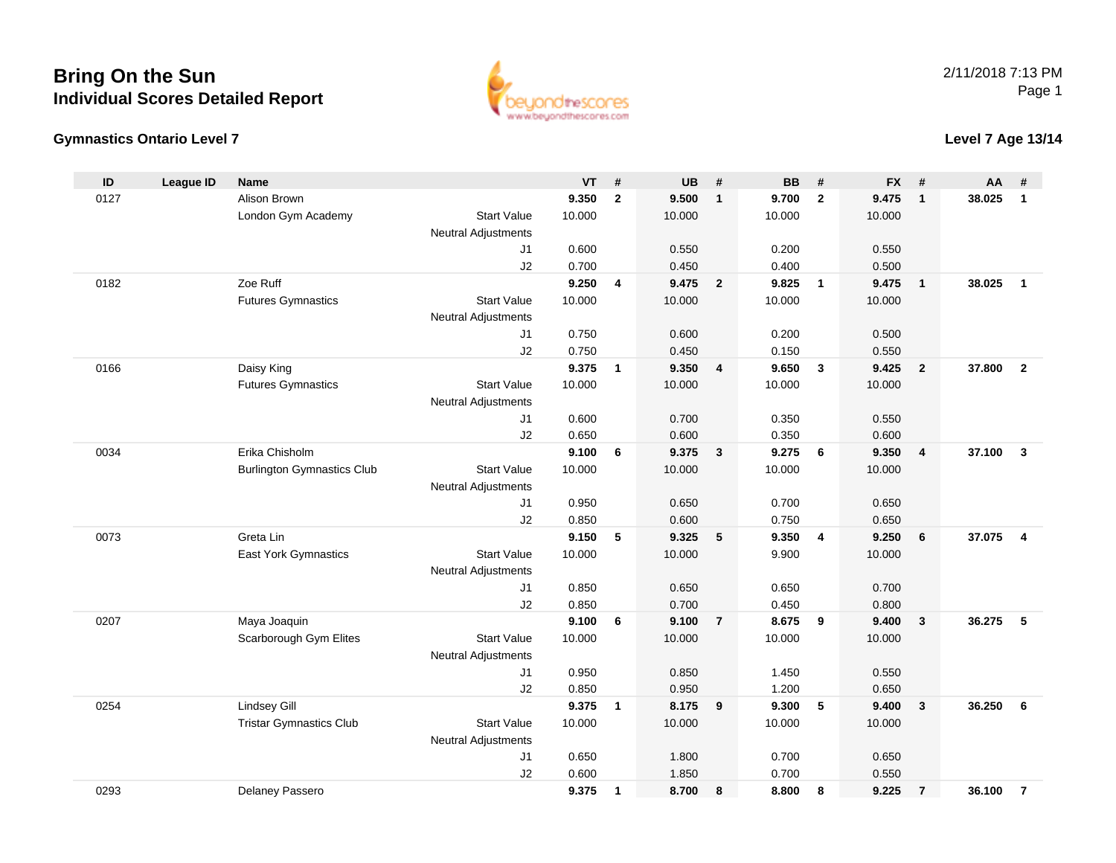



### **Level 7 Age 13/14**

| ID   | <b>League ID</b> | Name                              |                            | <b>VT</b>      | #            | <b>UB</b>      | #                       | <b>BB</b>      | #                       | <b>FX</b>      | #                       | AA     | #                       |
|------|------------------|-----------------------------------|----------------------------|----------------|--------------|----------------|-------------------------|----------------|-------------------------|----------------|-------------------------|--------|-------------------------|
| 0127 |                  | Alison Brown                      |                            | 9.350          | $\mathbf{2}$ | 9.500          | $\mathbf{1}$            | 9.700          | $\overline{2}$          | 9.475          | $\mathbf{1}$            | 38.025 | $\mathbf{1}$            |
|      |                  | London Gym Academy                | <b>Start Value</b>         | 10.000         |              | 10.000         |                         | 10.000         |                         | 10.000         |                         |        |                         |
|      |                  |                                   | <b>Neutral Adjustments</b> |                |              |                |                         |                |                         |                |                         |        |                         |
|      |                  |                                   | J1                         | 0.600          |              | 0.550          |                         | 0.200          |                         | 0.550          |                         |        |                         |
|      |                  |                                   | J2                         | 0.700          |              | 0.450          |                         | 0.400          |                         | 0.500          |                         |        |                         |
| 0182 |                  | Zoe Ruff                          |                            | 9.250          | 4            | 9.475          | $\overline{\mathbf{2}}$ | 9.825          | $\overline{1}$          | 9.475          | $\overline{1}$          | 38.025 | $\mathbf{1}$            |
|      |                  | <b>Futures Gymnastics</b>         | <b>Start Value</b>         | 10.000         |              | 10.000         |                         | 10.000         |                         | 10.000         |                         |        |                         |
|      |                  |                                   | Neutral Adjustments        |                |              |                |                         |                |                         |                |                         |        |                         |
|      |                  |                                   | J1                         | 0.750          |              | 0.600          |                         | 0.200          |                         | 0.500          |                         |        |                         |
|      |                  |                                   | J2                         | 0.750          |              | 0.450          |                         | 0.150          |                         | 0.550          |                         |        |                         |
| 0166 |                  | Daisy King                        |                            | 9.375          | $\mathbf{1}$ | 9.350          | 4                       | 9.650          | $\mathbf{3}$            | 9.425          | $\overline{2}$          | 37.800 | $\overline{2}$          |
|      |                  | <b>Futures Gymnastics</b>         | <b>Start Value</b>         | 10.000         |              | 10.000         |                         | 10.000         |                         | 10.000         |                         |        |                         |
|      |                  |                                   | Neutral Adjustments        |                |              |                |                         |                |                         |                |                         |        |                         |
|      |                  |                                   | J1                         | 0.600          |              | 0.700          |                         | 0.350          |                         | 0.550          |                         |        |                         |
| 0034 |                  | Erika Chisholm                    | J2                         | 0.650<br>9.100 | 6            | 0.600<br>9.375 | $\mathbf{3}$            | 0.350<br>9.275 | 6                       | 0.600<br>9.350 | $\overline{\mathbf{4}}$ | 37.100 | $\mathbf{3}$            |
|      |                  | <b>Burlington Gymnastics Club</b> | <b>Start Value</b>         | 10.000         |              | 10.000         |                         | 10.000         |                         | 10.000         |                         |        |                         |
|      |                  |                                   | Neutral Adjustments        |                |              |                |                         |                |                         |                |                         |        |                         |
|      |                  |                                   | J1                         | 0.950          |              | 0.650          |                         | 0.700          |                         | 0.650          |                         |        |                         |
|      |                  |                                   | J2                         | 0.850          |              | 0.600          |                         | 0.750          |                         | 0.650          |                         |        |                         |
| 0073 |                  | Greta Lin                         |                            | 9.150          | 5            | 9.325          | 5                       | 9.350          | $\overline{\mathbf{4}}$ | 9.250          | 6                       | 37.075 | $\overline{\mathbf{4}}$ |
|      |                  | <b>East York Gymnastics</b>       | <b>Start Value</b>         | 10.000         |              | 10.000         |                         | 9.900          |                         | 10.000         |                         |        |                         |
|      |                  |                                   | Neutral Adjustments        |                |              |                |                         |                |                         |                |                         |        |                         |
|      |                  |                                   | J1                         | 0.850          |              | 0.650          |                         | 0.650          |                         | 0.700          |                         |        |                         |
|      |                  |                                   | J2                         | 0.850          |              | 0.700          |                         | 0.450          |                         | 0.800          |                         |        |                         |
| 0207 |                  | Maya Joaquin                      |                            | 9.100          | 6            | 9.100          | $\overline{7}$          | 8.675          | 9                       | 9.400          | $\mathbf{3}$            | 36.275 | 5                       |
|      |                  | Scarborough Gym Elites            | <b>Start Value</b>         | 10.000         |              | 10.000         |                         | 10.000         |                         | 10.000         |                         |        |                         |
|      |                  |                                   | Neutral Adjustments        |                |              |                |                         |                |                         |                |                         |        |                         |
|      |                  |                                   | J1                         | 0.950          |              | 0.850          |                         | 1.450          |                         | 0.550          |                         |        |                         |
|      |                  |                                   | J2                         | 0.850          |              | 0.950          |                         | 1.200          |                         | 0.650          |                         |        |                         |
| 0254 |                  | <b>Lindsey Gill</b>               |                            | 9.375          | $\mathbf{1}$ | 8.175          | 9                       | 9.300          | 5                       | 9.400          | $\mathbf{3}$            | 36.250 | 6                       |
|      |                  | <b>Tristar Gymnastics Club</b>    | <b>Start Value</b>         | 10.000         |              | 10.000         |                         | 10.000         |                         | 10.000         |                         |        |                         |
|      |                  |                                   | <b>Neutral Adjustments</b> |                |              |                |                         |                |                         |                |                         |        |                         |
|      |                  |                                   | J1                         | 0.650          |              | 1.800          |                         | 0.700          |                         | 0.650          |                         |        |                         |
|      |                  |                                   | J2                         | 0.600          |              | 1.850          |                         | 0.700          |                         | 0.550          |                         |        |                         |
| 0293 |                  | Delaney Passero                   |                            | 9.375          | $\mathbf{1}$ | 8.700          | 8                       | 8.800          | 8                       | 9.225          | $\overline{7}$          | 36.100 | $\overline{7}$          |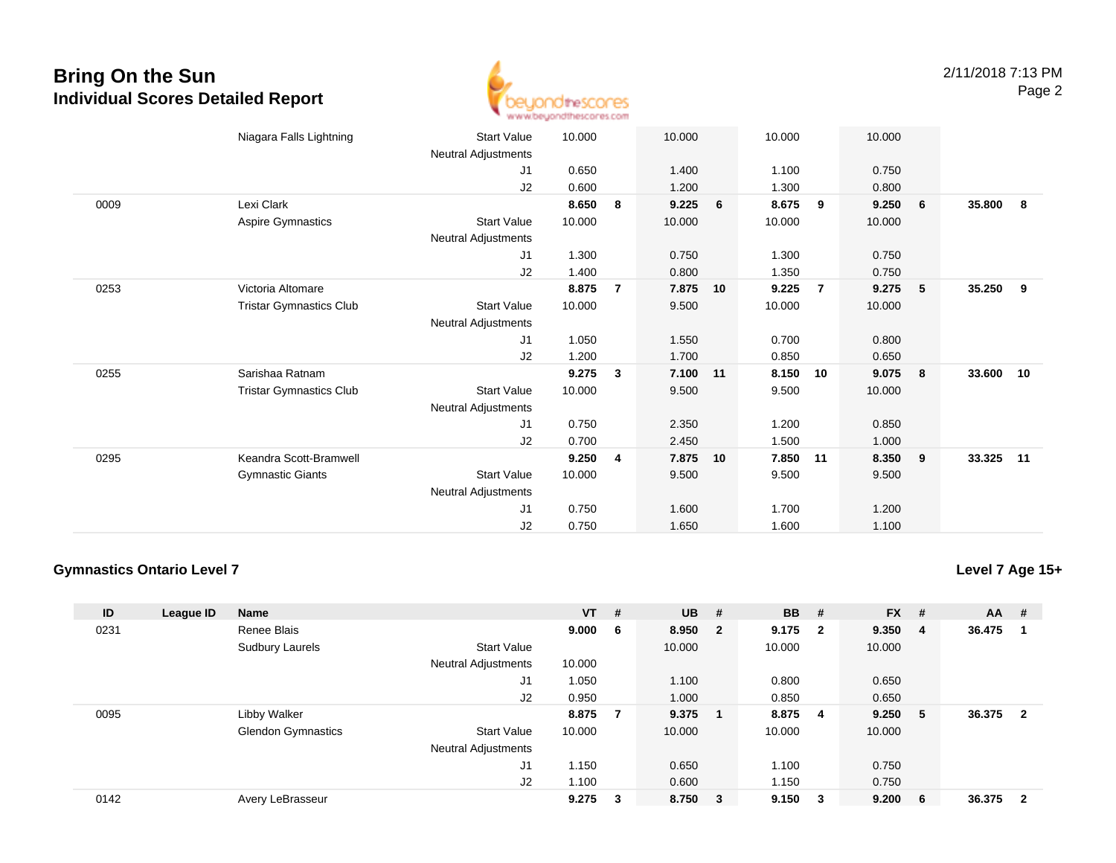

|      | Niagara Falls Lightning        | <b>Start Value</b>         | 10.000 |                | 10.000 |    | 10.000 |                | 10.000 |   |        |     |
|------|--------------------------------|----------------------------|--------|----------------|--------|----|--------|----------------|--------|---|--------|-----|
|      |                                | Neutral Adjustments        |        |                |        |    |        |                |        |   |        |     |
|      |                                | J1                         | 0.650  |                | 1.400  |    | 1.100  |                | 0.750  |   |        |     |
|      |                                | J2                         | 0.600  |                | 1.200  |    | 1.300  |                | 0.800  |   |        |     |
| 0009 | Lexi Clark                     |                            | 8.650  | 8              | 9.225  | 6  | 8.675  | 9              | 9.250  | 6 | 35.800 | - 8 |
|      | Aspire Gymnastics              | <b>Start Value</b>         | 10.000 |                | 10.000 |    | 10.000 |                | 10.000 |   |        |     |
|      |                                | Neutral Adjustments        |        |                |        |    |        |                |        |   |        |     |
|      |                                | J1                         | 1.300  |                | 0.750  |    | 1.300  |                | 0.750  |   |        |     |
|      |                                | J2                         | 1.400  |                | 0.800  |    | 1.350  |                | 0.750  |   |        |     |
| 0253 | Victoria Altomare              |                            | 8.875  | $\overline{7}$ | 7.875  | 10 | 9.225  | $\overline{7}$ | 9.275  | 5 | 35.250 | 9   |
|      | <b>Tristar Gymnastics Club</b> | <b>Start Value</b>         | 10.000 |                | 9.500  |    | 10.000 |                | 10.000 |   |        |     |
|      |                                | Neutral Adjustments        |        |                |        |    |        |                |        |   |        |     |
|      |                                | J1                         | 1.050  |                | 1.550  |    | 0.700  |                | 0.800  |   |        |     |
|      |                                | J2                         | 1.200  |                | 1.700  |    | 0.850  |                | 0.650  |   |        |     |
| 0255 | Sarishaa Ratnam                |                            | 9.275  | 3              | 7.100  | 11 | 8.150  | 10             | 9.075  | 8 | 33.600 | 10  |
|      | <b>Tristar Gymnastics Club</b> | <b>Start Value</b>         | 10.000 |                | 9.500  |    | 9.500  |                | 10.000 |   |        |     |
|      |                                | Neutral Adjustments        |        |                |        |    |        |                |        |   |        |     |
|      |                                | J1                         | 0.750  |                | 2.350  |    | 1.200  |                | 0.850  |   |        |     |
|      |                                | J2                         | 0.700  |                | 2.450  |    | 1.500  |                | 1.000  |   |        |     |
| 0295 | Keandra Scott-Bramwell         |                            | 9.250  | 4              | 7.875  | 10 | 7.850  | 11             | 8.350  | 9 | 33.325 | 11  |
|      | <b>Gymnastic Giants</b>        | Start Value                | 10.000 |                | 9.500  |    | 9.500  |                | 9.500  |   |        |     |
|      |                                | <b>Neutral Adjustments</b> |        |                |        |    |        |                |        |   |        |     |
|      |                                | J1                         | 0.750  |                | 1.600  |    | 1.700  |                | 1.200  |   |        |     |
|      |                                | J <sub>2</sub>             | 0.750  |                | 1.650  |    | 1.600  |                | 1.100  |   |        |     |

#### **Gymnastics Ontario Level 7**

**Level 7 Age 15+**

| ID   | League ID | <b>Name</b>               |                            | $VT$ # |     | $UB$ #  | <b>BB</b> | #   | $FX$ # |     | <b>AA</b> | #                       |
|------|-----------|---------------------------|----------------------------|--------|-----|---------|-----------|-----|--------|-----|-----------|-------------------------|
| 0231 |           | Renee Blais               |                            | 9.000  | - 6 | 8.950 2 | 9.175 2   |     | 9.350  | - 4 | 36.475    |                         |
|      |           | Sudbury Laurels           | <b>Start Value</b>         |        |     | 10.000  | 10.000    |     | 10.000 |     |           |                         |
|      |           |                           | <b>Neutral Adjustments</b> | 10.000 |     |         |           |     |        |     |           |                         |
|      |           |                           | J1                         | 1.050  |     | 1.100   | 0.800     |     | 0.650  |     |           |                         |
|      |           |                           | J2                         | 0.950  |     | 1.000   | 0.850     |     | 0.650  |     |           |                         |
| 0095 |           | Libby Walker              |                            | 8.875  | 7   | 9.375   | 8.875     | - 4 | 9.250  | - 5 | 36.375    | $\overline{\mathbf{2}}$ |
|      |           | <b>Glendon Gymnastics</b> | <b>Start Value</b>         | 10.000 |     | 10.000  | 10.000    |     | 10.000 |     |           |                         |
|      |           |                           | <b>Neutral Adjustments</b> |        |     |         |           |     |        |     |           |                         |
|      |           |                           | J <sub>1</sub>             | 1.150  |     | 0.650   | 1.100     |     | 0.750  |     |           |                         |
|      |           |                           | J2                         | 1.100  |     | 0.600   | 1.150     |     | 0.750  |     |           |                         |
| 0142 |           | Avery LeBrasseur          |                            | 9.275  | 3   | 8.750 3 | 9.150     | 3   | 9.200  | - 6 | 36.375    | $\overline{\mathbf{2}}$ |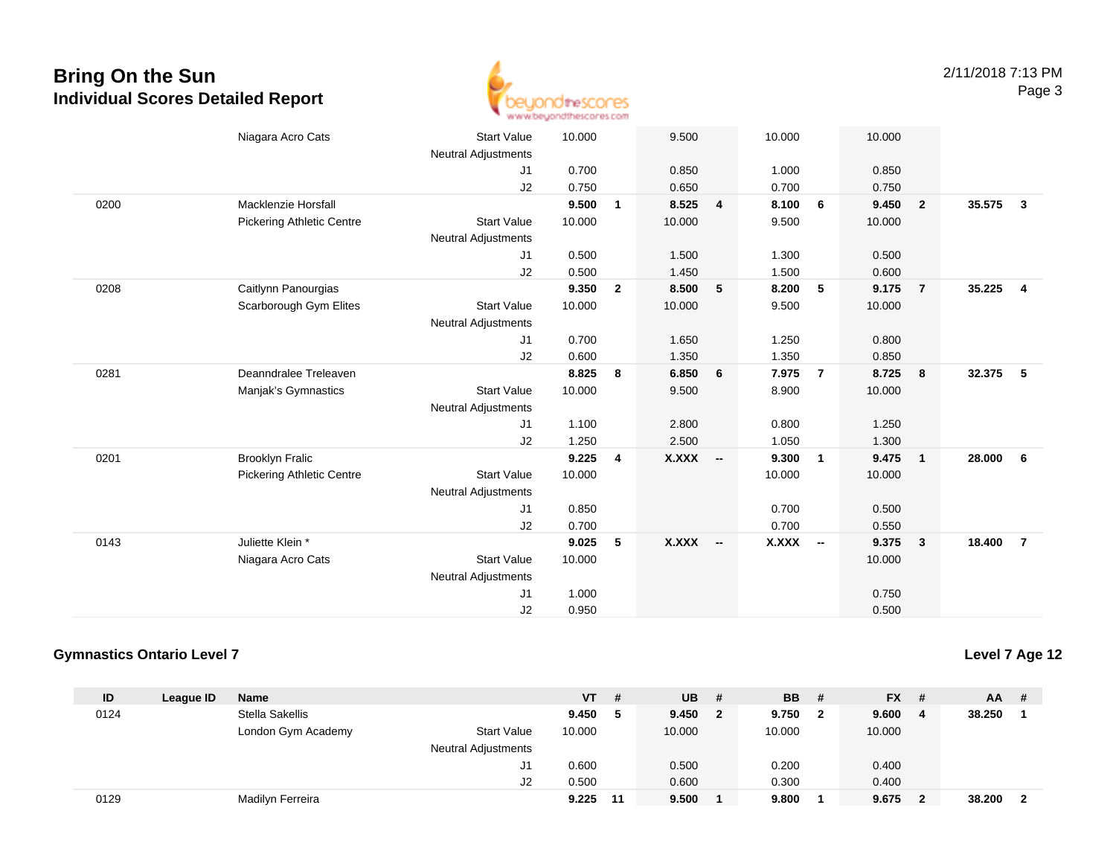

|      | Niagara Acro Cats                | <b>Start Value</b>         | 10.000 |                | 9.500     |                | 10.000       |                | 10.000 |                         |        |                |
|------|----------------------------------|----------------------------|--------|----------------|-----------|----------------|--------------|----------------|--------|-------------------------|--------|----------------|
|      |                                  | <b>Neutral Adjustments</b> |        |                |           |                |              |                |        |                         |        |                |
|      |                                  | J1                         | 0.700  |                | 0.850     |                | 1.000        |                | 0.850  |                         |        |                |
|      |                                  | J2                         | 0.750  |                | 0.650     |                | 0.700        |                | 0.750  |                         |        |                |
| 0200 | <b>Macklenzie Horsfall</b>       |                            | 9.500  | $\mathbf{1}$   | 8.525     | $\overline{4}$ | 8.100        | 6              | 9.450  | $\overline{\mathbf{2}}$ | 35.575 | $\mathbf{3}$   |
|      | <b>Pickering Athletic Centre</b> | <b>Start Value</b>         | 10.000 |                | 10.000    |                | 9.500        |                | 10.000 |                         |        |                |
|      |                                  | <b>Neutral Adjustments</b> |        |                |           |                |              |                |        |                         |        |                |
|      |                                  | J1                         | 0.500  |                | 1.500     |                | 1.300        |                | 0.500  |                         |        |                |
|      |                                  | J2                         | 0.500  |                | 1.450     |                | 1.500        |                | 0.600  |                         |        |                |
| 0208 | Caitlynn Panourgias              |                            | 9.350  | $\overline{2}$ | 8.500     | 5              | 8.200        | 5              | 9.175  | $\overline{7}$          | 35.225 | $\overline{4}$ |
|      | Scarborough Gym Elites           | <b>Start Value</b>         | 10.000 |                | 10.000    |                | 9.500        |                | 10.000 |                         |        |                |
|      |                                  | <b>Neutral Adjustments</b> |        |                |           |                |              |                |        |                         |        |                |
|      |                                  | J <sub>1</sub>             | 0.700  |                | 1.650     |                | 1.250        |                | 0.800  |                         |        |                |
|      |                                  | J2                         | 0.600  |                | 1.350     |                | 1.350        |                | 0.850  |                         |        |                |
| 0281 | Deanndralee Treleaven            |                            | 8.825  | 8              | 6.850     | 6              | 7.975        | $\overline{7}$ | 8.725  | 8                       | 32.375 | - 5            |
|      | Manjak's Gymnastics              | <b>Start Value</b>         | 10.000 |                | 9.500     |                | 8.900        |                | 10.000 |                         |        |                |
|      |                                  | <b>Neutral Adjustments</b> |        |                |           |                |              |                |        |                         |        |                |
|      |                                  | J1                         | 1.100  |                | 2.800     |                | 0.800        |                | 1.250  |                         |        |                |
|      |                                  | J2                         | 1.250  |                | 2.500     |                | 1.050        |                | 1.300  |                         |        |                |
| 0201 | <b>Brooklyn Fralic</b>           |                            | 9.225  | 4              | $X.XXX$ - |                | 9.300        | $\overline{1}$ | 9.475  | $\overline{\mathbf{1}}$ | 28.000 | - 6            |
|      | <b>Pickering Athletic Centre</b> | <b>Start Value</b>         | 10.000 |                |           |                | 10.000       |                | 10.000 |                         |        |                |
|      |                                  | <b>Neutral Adjustments</b> |        |                |           |                |              |                |        |                         |        |                |
|      |                                  | J1                         | 0.850  |                |           |                | 0.700        |                | 0.500  |                         |        |                |
|      |                                  | J2                         | 0.700  |                |           |                | 0.700        |                | 0.550  |                         |        |                |
| 0143 | Juliette Klein *                 |                            | 9.025  | 5              | X.XXX --  |                | <b>X.XXX</b> | $\sim$         | 9.375  | $\overline{\mathbf{3}}$ | 18.400 | $\overline{7}$ |
|      | Niagara Acro Cats                | <b>Start Value</b>         | 10.000 |                |           |                |              |                | 10.000 |                         |        |                |
|      |                                  | <b>Neutral Adjustments</b> |        |                |           |                |              |                |        |                         |        |                |
|      |                                  | J <sub>1</sub>             | 1.000  |                |           |                |              |                | 0.750  |                         |        |                |
|      |                                  | J2                         | 0.950  |                |           |                |              |                | 0.500  |                         |        |                |

#### **Gymnastics Ontario Level 7**

**Level 7 Age 12**

| ID   | League ID | <b>Name</b>        |                            | <b>VT</b> | #  | <b>UB</b> | #            | <b>BB</b> # |   | $FX$ # |     | <b>AA</b> | -#  |
|------|-----------|--------------------|----------------------------|-----------|----|-----------|--------------|-------------|---|--------|-----|-----------|-----|
| 0124 |           | Stella Sakellis    |                            | 9.450     |    | 9.450     | $\mathbf{2}$ | 9.750       | 2 | 9.600  | - 4 | 38.250    |     |
|      |           | London Gym Academy | <b>Start Value</b>         | 10.000    |    | 10.000    |              | 10.000      |   | 10.000 |     |           |     |
|      |           |                    | <b>Neutral Adjustments</b> |           |    |           |              |             |   |        |     |           |     |
|      |           |                    | J1                         | 0.600     |    | 0.500     |              | 0.200       |   | 0.400  |     |           |     |
|      |           |                    | J2                         | 0.500     |    | 0.600     |              | 0.300       |   | 0.400  |     |           |     |
| 0129 |           | Madilyn Ferreira   |                            | 9.225     | 11 | 9.500     |              | 9.800       |   | 9.675  |     | 38.200    | - 2 |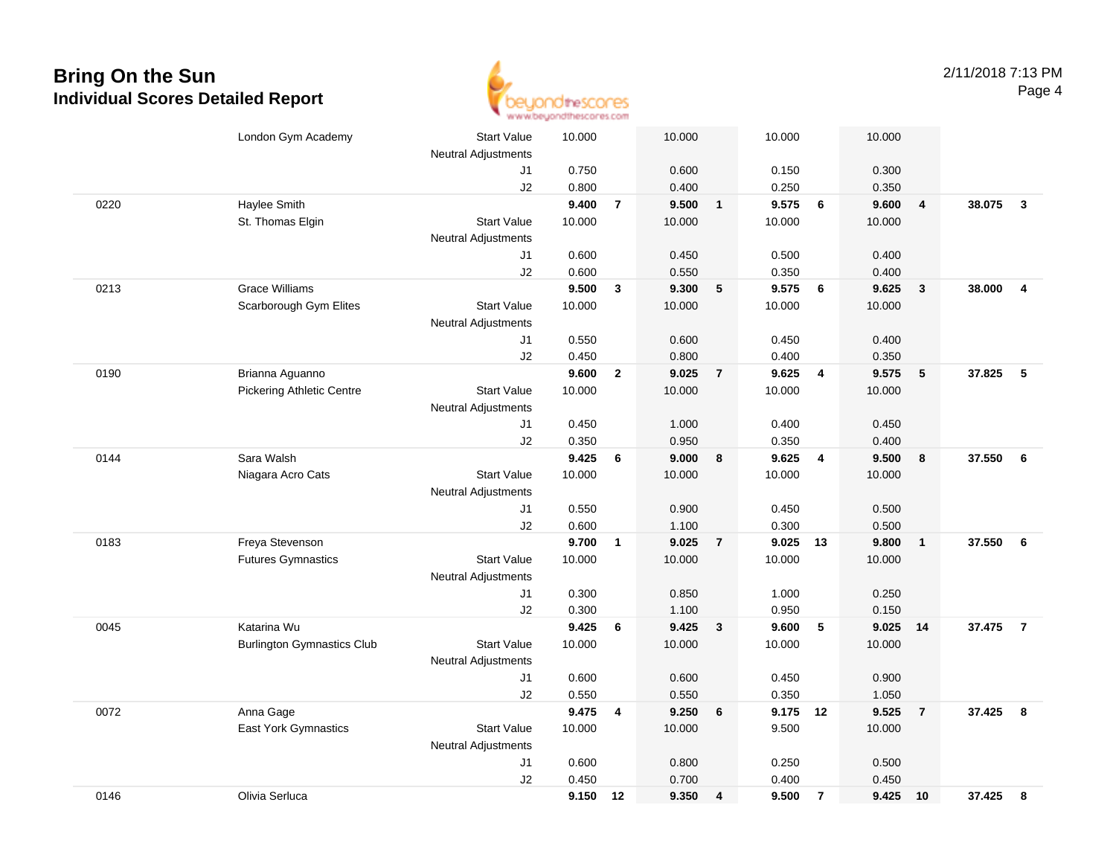

|      | London Gym Academy                | <b>Start Value</b><br><b>Neutral Adjustments</b> | 10.000 |                | 10.000 |                | 10.000   |                 | 10.000 |                         |        |                |
|------|-----------------------------------|--------------------------------------------------|--------|----------------|--------|----------------|----------|-----------------|--------|-------------------------|--------|----------------|
|      |                                   | J1                                               | 0.750  |                | 0.600  |                | 0.150    |                 | 0.300  |                         |        |                |
|      |                                   | J2                                               | 0.800  |                | 0.400  |                | 0.250    |                 | 0.350  |                         |        |                |
| 0220 | Haylee Smith                      |                                                  | 9.400  | $\overline{7}$ | 9.500  | $\mathbf{1}$   | 9.575    | 6               | 9.600  | $\overline{\mathbf{4}}$ | 38.075 | $\mathbf{3}$   |
|      | St. Thomas Elgin                  | <b>Start Value</b>                               | 10.000 |                | 10.000 |                | 10.000   |                 | 10.000 |                         |        |                |
|      |                                   | <b>Neutral Adjustments</b>                       |        |                |        |                |          |                 |        |                         |        |                |
|      |                                   | J1                                               | 0.600  |                | 0.450  |                | 0.500    |                 | 0.400  |                         |        |                |
|      |                                   | J2                                               | 0.600  |                | 0.550  |                | 0.350    |                 | 0.400  |                         |        |                |
| 0213 | <b>Grace Williams</b>             |                                                  | 9.500  | $\mathbf{3}$   | 9.300  | 5              | 9.575    | $6\phantom{1}6$ | 9.625  | $\overline{\mathbf{3}}$ | 38.000 | $\overline{4}$ |
|      | Scarborough Gym Elites            | <b>Start Value</b>                               | 10.000 |                | 10.000 |                | 10.000   |                 | 10.000 |                         |        |                |
|      |                                   | <b>Neutral Adjustments</b>                       |        |                |        |                |          |                 |        |                         |        |                |
|      |                                   | J1                                               | 0.550  |                | 0.600  |                | 0.450    |                 | 0.400  |                         |        |                |
|      |                                   | J2                                               | 0.450  |                | 0.800  |                | 0.400    |                 | 0.350  |                         |        |                |
| 0190 | Brianna Aguanno                   |                                                  | 9.600  | $\overline{2}$ | 9.025  | $\overline{7}$ | 9.625    | $\overline{4}$  | 9.575  | 5                       | 37.825 | 5              |
|      | <b>Pickering Athletic Centre</b>  | <b>Start Value</b>                               | 10.000 |                | 10.000 |                | 10.000   |                 | 10.000 |                         |        |                |
|      |                                   | <b>Neutral Adjustments</b>                       |        |                |        |                |          |                 |        |                         |        |                |
|      |                                   | J1                                               | 0.450  |                | 1.000  |                | 0.400    |                 | 0.450  |                         |        |                |
|      |                                   | J2                                               | 0.350  |                | 0.950  |                | 0.350    |                 | 0.400  |                         |        |                |
| 0144 | Sara Walsh                        |                                                  | 9.425  | 6              | 9.000  | 8              | 9.625    | $\overline{4}$  | 9.500  | 8                       | 37.550 | 6              |
|      | Niagara Acro Cats                 | <b>Start Value</b>                               | 10.000 |                | 10.000 |                | 10.000   |                 | 10.000 |                         |        |                |
|      |                                   | <b>Neutral Adjustments</b>                       |        |                |        |                |          |                 |        |                         |        |                |
|      |                                   | J1                                               | 0.550  |                | 0.900  |                | 0.450    |                 | 0.500  |                         |        |                |
|      |                                   | J2                                               | 0.600  |                | 1.100  |                | 0.300    |                 | 0.500  |                         |        |                |
| 0183 | Freya Stevenson                   |                                                  | 9.700  | $\mathbf{1}$   | 9.025  | $\overline{7}$ | 9.025    | 13              | 9.800  | $\overline{1}$          | 37.550 | 6              |
|      | <b>Futures Gymnastics</b>         | <b>Start Value</b>                               | 10.000 |                | 10.000 |                | 10.000   |                 | 10.000 |                         |        |                |
|      |                                   | <b>Neutral Adjustments</b>                       |        |                |        |                |          |                 |        |                         |        |                |
|      |                                   | J1                                               | 0.300  |                | 0.850  |                | 1.000    |                 | 0.250  |                         |        |                |
|      |                                   | J2                                               | 0.300  |                | 1.100  |                | 0.950    |                 | 0.150  |                         |        |                |
| 0045 | Katarina Wu                       |                                                  | 9.425  | 6              | 9.425  | $\mathbf{3}$   | 9.600    | $5\phantom{.0}$ | 9.025  | 14                      | 37.475 | $\overline{7}$ |
|      | <b>Burlington Gymnastics Club</b> | <b>Start Value</b>                               | 10.000 |                | 10.000 |                | 10.000   |                 | 10.000 |                         |        |                |
|      |                                   | Neutral Adjustments                              |        |                |        |                |          |                 |        |                         |        |                |
|      |                                   | J1                                               | 0.600  |                | 0.600  |                | 0.450    |                 | 0.900  |                         |        |                |
|      |                                   | J2                                               | 0.550  |                | 0.550  |                | 0.350    |                 | 1.050  |                         |        |                |
| 0072 | Anna Gage                         |                                                  | 9.475  | 4              | 9.250  | 6              | 9.175 12 |                 | 9.525  | $\overline{7}$          | 37.425 | 8              |
|      | <b>East York Gymnastics</b>       | <b>Start Value</b>                               | 10.000 |                | 10.000 |                | 9.500    |                 | 10.000 |                         |        |                |
|      |                                   | <b>Neutral Adjustments</b>                       |        |                |        |                |          |                 |        |                         |        |                |
|      |                                   | J1                                               | 0.600  |                | 0.800  |                | 0.250    |                 | 0.500  |                         |        |                |
|      |                                   | J2                                               | 0.450  |                | 0.700  |                | 0.400    |                 | 0.450  |                         |        |                |
| 0146 | Olivia Serluca                    |                                                  | 9.150  | 12             | 9.350  | 4              | 9.500    | $\overline{7}$  | 9.425  | 10                      | 37.425 | 8              |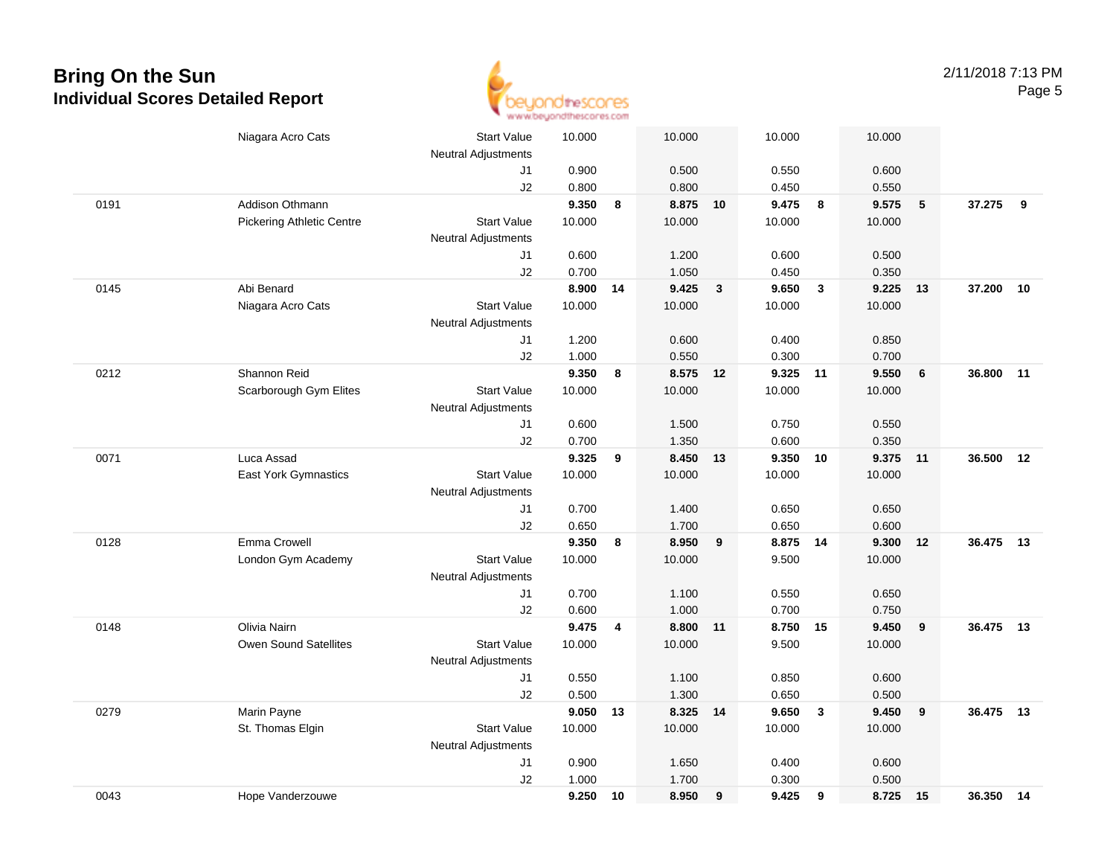

|      | Niagara Acro Cats                | <b>Start Value</b>         | 10.000          |    | 10.000             |              | 10.000         |              | 10.000         |    |           |    |
|------|----------------------------------|----------------------------|-----------------|----|--------------------|--------------|----------------|--------------|----------------|----|-----------|----|
|      |                                  | <b>Neutral Adjustments</b> |                 |    |                    |              |                |              |                |    |           |    |
|      |                                  | J1                         | 0.900           |    | 0.500              |              | 0.550          |              | 0.600          |    |           |    |
|      |                                  | J2                         | 0.800           |    | 0.800              |              | 0.450          |              | 0.550          |    |           |    |
| 0191 | Addison Othmann                  |                            | 9.350           | 8  | 8.875 10           |              | 9.475          | 8            | 9.575          | 5  | 37.275    | 9  |
|      | <b>Pickering Athletic Centre</b> | <b>Start Value</b>         | 10.000          |    | 10.000             |              | 10.000         |              | 10.000         |    |           |    |
|      |                                  | <b>Neutral Adjustments</b> |                 |    |                    |              |                |              |                |    |           |    |
|      |                                  | J1                         | 0.600           |    | 1.200              |              | 0.600          |              | 0.500          |    |           |    |
|      |                                  | J2                         | 0.700           |    | 1.050              |              | 0.450          |              | 0.350          |    |           |    |
| 0145 | Abi Benard                       |                            | 8.900           | 14 | 9.425              | $\mathbf{3}$ | 9.650          | $\mathbf{3}$ | 9.225          | 13 | 37.200    | 10 |
|      | Niagara Acro Cats                | <b>Start Value</b>         | 10.000          |    | 10.000             |              | 10.000         |              | 10.000         |    |           |    |
|      |                                  | <b>Neutral Adjustments</b> |                 |    |                    |              |                |              |                |    |           |    |
|      |                                  | J1                         | 1.200           |    | 0.600              |              | 0.400          |              | 0.850          |    |           |    |
|      |                                  | J2                         | 1.000           |    | 0.550              |              | 0.300          |              | 0.700          |    |           |    |
| 0212 | Shannon Reid                     |                            | 9.350           | 8  | 8.575 12           |              | 9.325 11       |              | 9.550          | 6  | 36.800    | 11 |
|      | Scarborough Gym Elites           | <b>Start Value</b>         | 10.000          |    | 10.000             |              | 10.000         |              | 10.000         |    |           |    |
|      |                                  | <b>Neutral Adjustments</b> |                 |    |                    |              |                |              |                |    |           |    |
|      |                                  | J1                         | 0.600           |    | 1.500              |              | 0.750          |              | 0.550          |    |           |    |
|      |                                  | J2                         | 0.700           |    | 1.350              |              | 0.600          |              | 0.350          |    |           |    |
| 0071 | Luca Assad                       |                            | 9.325           | 9  | 8.450              | 13           | 9.350 10       |              | 9.375 11       |    | 36.500    | 12 |
|      | <b>East York Gymnastics</b>      | <b>Start Value</b>         | 10.000          |    | 10.000             |              | 10.000         |              | 10.000         |    |           |    |
|      |                                  | <b>Neutral Adjustments</b> |                 |    |                    |              |                |              |                |    |           |    |
|      |                                  | J1                         | 0.700           |    | 1.400              |              | 0.650          |              | 0.650          |    |           |    |
|      |                                  | J2                         | 0.650           |    | 1.700              |              | 0.650          |              | 0.600          |    |           |    |
| 0128 | Emma Crowell                     |                            | 9.350           | 8  | 8.950              | 9            | 8.875          | 14           | 9.300          | 12 | 36.475    | 13 |
|      | London Gym Academy               | <b>Start Value</b>         | 10.000          |    | 10.000             |              | 9.500          |              | 10.000         |    |           |    |
|      |                                  | <b>Neutral Adjustments</b> |                 |    |                    |              |                |              |                |    |           |    |
|      |                                  | J1                         | 0.700           |    | 1.100              |              | 0.550          |              | 0.650          |    |           |    |
|      |                                  | J2                         | 0.600           |    | 1.000              |              | 0.700          |              | 0.750          |    |           |    |
| 0148 | Olivia Nairn                     |                            | 9.475           | 4  | 8.800 11           |              | 8.750 15       |              | 9.450          | 9  | 36.475 13 |    |
|      | Owen Sound Satellites            | <b>Start Value</b>         | 10.000          |    | 10.000             |              | 9.500          |              | 10.000         |    |           |    |
|      |                                  | <b>Neutral Adjustments</b> |                 |    |                    |              |                |              |                |    |           |    |
|      |                                  | J1                         | 0.550           |    | 1.100              |              | 0.850          |              | 0.600          |    |           |    |
|      |                                  | J2                         | 0.500           |    | 1.300              |              | 0.650          |              | 0.500<br>9.450 |    | 36.475    | 13 |
| 0279 | Marin Payne                      | <b>Start Value</b>         | 9.050<br>10.000 | 13 | 8.325 14<br>10.000 |              | 9.650          | $\mathbf{3}$ |                | 9  |           |    |
|      | St. Thomas Elgin                 |                            |                 |    |                    |              | 10.000         |              | 10.000         |    |           |    |
|      |                                  | <b>Neutral Adjustments</b> |                 |    |                    |              |                |              |                |    |           |    |
|      |                                  | J1<br>J2                   | 0.900<br>1.000  |    | 1.650<br>1.700     |              | 0.400<br>0.300 |              | 0.600<br>0.500 |    |           |    |
| 0043 |                                  |                            | 9.250           |    | 8.950              |              | 9.425          |              |                |    | 36.350 14 |    |
|      | Hope Vanderzouwe                 |                            |                 | 10 |                    | 9            |                | 9            | 8.725 15       |    |           |    |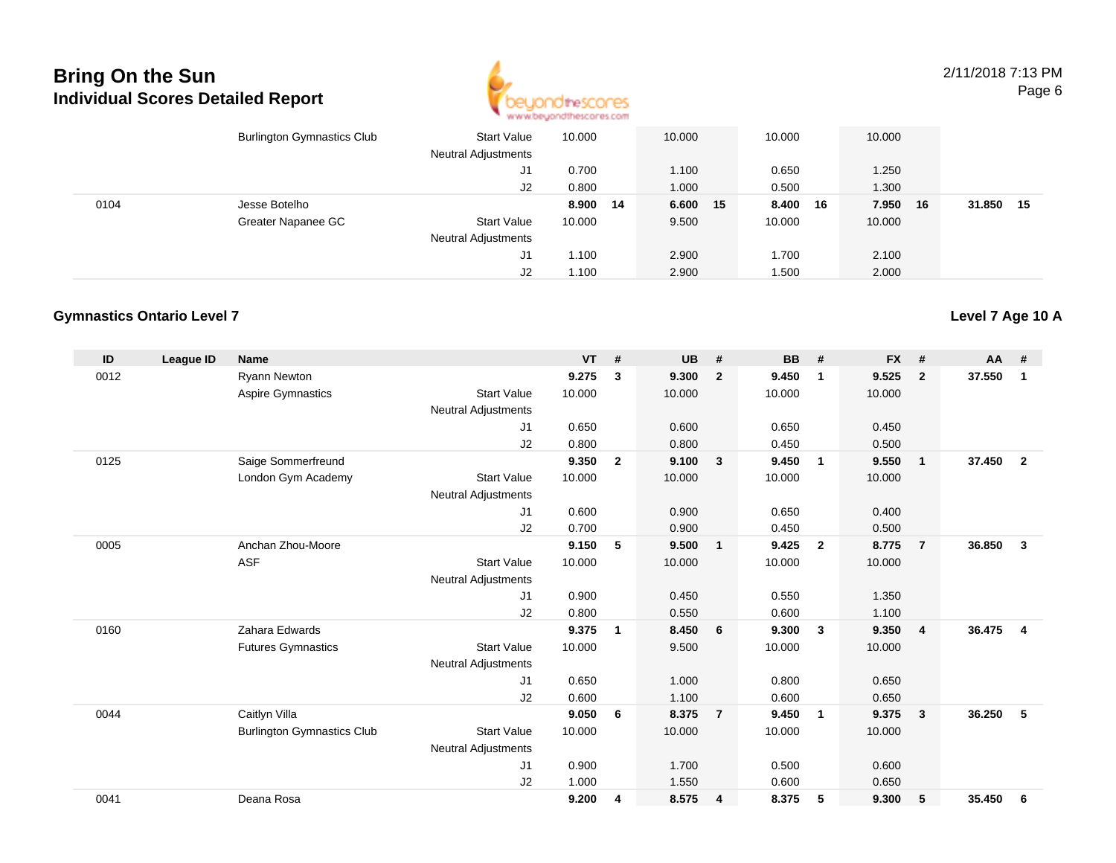

2/11/2018 7:13 PMPage 6

|      | <b>Burlington Gymnastics Club</b> | <b>Start Value</b><br><b>Neutral Adjustments</b> | 10.000   | 10.000   | 10.000 |    | 10.000 |    |        |     |
|------|-----------------------------------|--------------------------------------------------|----------|----------|--------|----|--------|----|--------|-----|
|      |                                   | J1                                               | 0.700    | 1.100    | 0.650  |    | 1.250  |    |        |     |
|      |                                   | J2                                               | 0.800    | 1.000    | 0.500  |    | 1.300  |    |        |     |
| 0104 | Jesse Botelho                     |                                                  | 8.900 14 | 6.600 15 | 8.400  | 16 | 7.950  | 16 | 31.850 | -15 |
|      | Greater Napanee GC                | <b>Start Value</b>                               | 10.000   | 9.500    | 10.000 |    | 10.000 |    |        |     |
|      |                                   | <b>Neutral Adjustments</b>                       |          |          |        |    |        |    |        |     |
|      |                                   | J1                                               | 1.100    | 2.900    | 1.700  |    | 2.100  |    |        |     |
|      |                                   | J2                                               | 1.100    | 2.900    | 1.500  |    | 2.000  |    |        |     |

#### **Gymnastics Ontario Level 7**

| ID   | <b>League ID</b> | <b>Name</b>                       |                            | <b>VT</b> | #              | <b>UB</b> | #                       | <b>BB</b> | #              | <b>FX</b> | #              | $AA$ # |                |
|------|------------------|-----------------------------------|----------------------------|-----------|----------------|-----------|-------------------------|-----------|----------------|-----------|----------------|--------|----------------|
| 0012 |                  | <b>Ryann Newton</b>               |                            | 9.275     | 3              | 9.300     | $\overline{2}$          | 9.450     | $\mathbf{1}$   | 9.525     | $\mathbf{2}$   | 37.550 | $\mathbf{1}$   |
|      |                  | <b>Aspire Gymnastics</b>          | <b>Start Value</b>         | 10.000    |                | 10.000    |                         | 10.000    |                | 10.000    |                |        |                |
|      |                  |                                   | <b>Neutral Adjustments</b> |           |                |           |                         |           |                |           |                |        |                |
|      |                  |                                   | J <sub>1</sub>             | 0.650     |                | 0.600     |                         | 0.650     |                | 0.450     |                |        |                |
|      |                  |                                   | J2                         | 0.800     |                | 0.800     |                         | 0.450     |                | 0.500     |                |        |                |
| 0125 |                  | Saige Sommerfreund                |                            | 9.350     | $\overline{2}$ | 9.100     | $\overline{\mathbf{3}}$ | 9.450     | $\overline{1}$ | 9.550     | $\mathbf{1}$   | 37.450 | $\overline{2}$ |
|      |                  | London Gym Academy                | <b>Start Value</b>         | 10.000    |                | 10.000    |                         | 10.000    |                | 10.000    |                |        |                |
|      |                  |                                   | <b>Neutral Adjustments</b> |           |                |           |                         |           |                |           |                |        |                |
|      |                  |                                   | J1                         | 0.600     |                | 0.900     |                         | 0.650     |                | 0.400     |                |        |                |
|      |                  |                                   | J2                         | 0.700     |                | 0.900     |                         | 0.450     |                | 0.500     |                |        |                |
| 0005 |                  | Anchan Zhou-Moore                 |                            | 9.150     | 5              | 9.500     | $\overline{\mathbf{1}}$ | 9.425     | $\overline{2}$ | 8.775     | $\overline{7}$ | 36.850 | 3              |
|      |                  | <b>ASF</b>                        | <b>Start Value</b>         | 10.000    |                | 10.000    |                         | 10.000    |                | 10.000    |                |        |                |
|      |                  |                                   | <b>Neutral Adjustments</b> |           |                |           |                         |           |                |           |                |        |                |
|      |                  |                                   | J <sub>1</sub>             | 0.900     |                | 0.450     |                         | 0.550     |                | 1.350     |                |        |                |
|      |                  |                                   | J2                         | 0.800     |                | 0.550     |                         | 0.600     |                | 1.100     |                |        |                |
| 0160 |                  | Zahara Edwards                    |                            | 9.375     | 1              | 8.450     | 6                       | 9.300     | $\mathbf{3}$   | 9.350     | 4              | 36.475 | 4              |
|      |                  | <b>Futures Gymnastics</b>         | <b>Start Value</b>         | 10.000    |                | 9.500     |                         | 10.000    |                | 10.000    |                |        |                |
|      |                  |                                   | <b>Neutral Adjustments</b> |           |                |           |                         |           |                |           |                |        |                |
|      |                  |                                   | J <sub>1</sub>             | 0.650     |                | 1.000     |                         | 0.800     |                | 0.650     |                |        |                |
|      |                  |                                   | J2                         | 0.600     |                | 1.100     |                         | 0.600     |                | 0.650     |                |        |                |
| 0044 |                  | Caitlyn Villa                     |                            | 9.050     | 6              | 8.375     | $\overline{7}$          | 9.450     | $\overline{1}$ | 9.375     | $\mathbf{3}$   | 36.250 | 5              |
|      |                  | <b>Burlington Gymnastics Club</b> | <b>Start Value</b>         | 10.000    |                | 10.000    |                         | 10.000    |                | 10.000    |                |        |                |
|      |                  |                                   | <b>Neutral Adjustments</b> |           |                |           |                         |           |                |           |                |        |                |
|      |                  |                                   | J <sub>1</sub>             | 0.900     |                | 1.700     |                         | 0.500     |                | 0.600     |                |        |                |
|      |                  |                                   | J2                         | 1.000     |                | 1.550     |                         | 0.600     |                | 0.650     |                |        |                |
| 0041 |                  | Deana Rosa                        |                            | 9.200     | 4              | 8.575     | $\overline{\mathbf{4}}$ | 8.375     | 5              | 9.300     | 5              | 35.450 | 6              |
|      |                  |                                   |                            |           |                |           |                         |           |                |           |                |        |                |

### **Level 7 Age 10 A**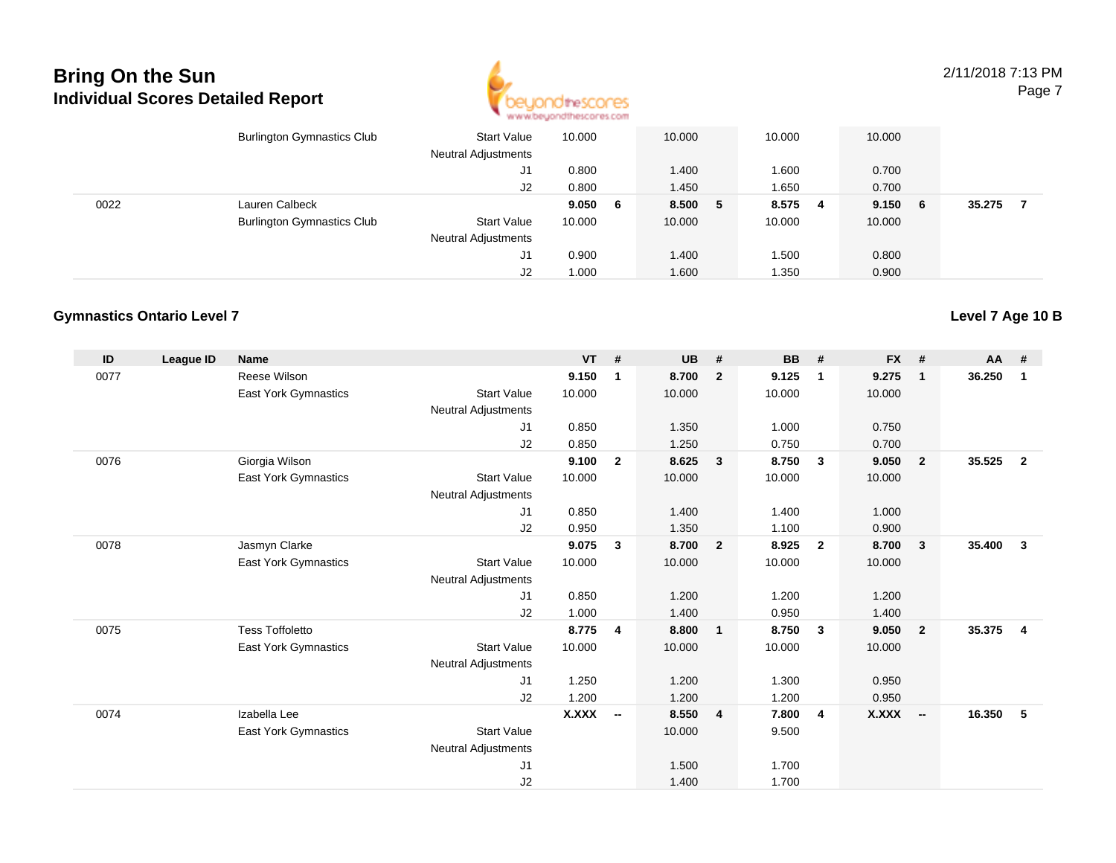

2/11/2018 7:13 PMPage 7

|      | <b>Burlington Gymnastics Club</b> | <b>Start Value</b><br><b>Neutral Adjustments</b> | 10.000 |   | 10.000  | 10.000 |     | 10.000 |     |        |  |
|------|-----------------------------------|--------------------------------------------------|--------|---|---------|--------|-----|--------|-----|--------|--|
|      |                                   | J1                                               | 0.800  |   | 1.400   | 1.600  |     | 0.700  |     |        |  |
|      |                                   | J2                                               | 0.800  |   | 1.450   | 1.650  |     | 0.700  |     |        |  |
| 0022 | Lauren Calbeck                    |                                                  | 9.050  | 6 | 8.500 5 | 8.575  | - 4 | 9.150  | - 6 | 35.275 |  |
|      | <b>Burlington Gymnastics Club</b> | <b>Start Value</b>                               | 10.000 |   | 10.000  | 10.000 |     | 10.000 |     |        |  |
|      |                                   | <b>Neutral Adjustments</b>                       |        |   |         |        |     |        |     |        |  |
|      |                                   | J1                                               | 0.900  |   | 1.400   | .500   |     | 0.800  |     |        |  |
|      |                                   | J2                                               | 1.000  |   | 1.600   | .350   |     | 0.900  |     |        |  |

#### **Gymnastics Ontario Level 7**

| ID   | League ID | <b>Name</b>                 |                            | <b>VT</b>    | #                        | <b>UB</b> | #                       | <b>BB</b> | #              | <b>FX</b>    | #                        | $AA$ # |                         |
|------|-----------|-----------------------------|----------------------------|--------------|--------------------------|-----------|-------------------------|-----------|----------------|--------------|--------------------------|--------|-------------------------|
| 0077 |           | Reese Wilson                |                            | 9.150        | 1                        | 8.700     | $\overline{2}$          | 9.125     | $\overline{1}$ | 9.275        | $\mathbf{1}$             | 36.250 | $\mathbf{1}$            |
|      |           | East York Gymnastics        | <b>Start Value</b>         | 10.000       |                          | 10.000    |                         | 10.000    |                | 10.000       |                          |        |                         |
|      |           |                             | <b>Neutral Adjustments</b> |              |                          |           |                         |           |                |              |                          |        |                         |
|      |           |                             | J1                         | 0.850        |                          | 1.350     |                         | 1.000     |                | 0.750        |                          |        |                         |
|      |           |                             | J2                         | 0.850        |                          | 1.250     |                         | 0.750     |                | 0.700        |                          |        |                         |
| 0076 |           | Giorgia Wilson              |                            | 9.100        | $\mathbf{2}$             | 8.625     | $\overline{\mathbf{3}}$ | 8.750     | - 3            | 9.050        | $\overline{2}$           | 35.525 | $\overline{\mathbf{2}}$ |
|      |           | East York Gymnastics        | <b>Start Value</b>         | 10.000       |                          | 10.000    |                         | 10.000    |                | 10.000       |                          |        |                         |
|      |           |                             | <b>Neutral Adjustments</b> |              |                          |           |                         |           |                |              |                          |        |                         |
|      |           |                             | J <sub>1</sub>             | 0.850        |                          | 1.400     |                         | 1.400     |                | 1.000        |                          |        |                         |
|      |           |                             | J2                         | 0.950        |                          | 1.350     |                         | 1.100     |                | 0.900        |                          |        |                         |
| 0078 |           | Jasmyn Clarke               |                            | 9.075        | $\mathbf{3}$             | 8.700     | $\overline{\mathbf{2}}$ | 8.925     | $\overline{2}$ | 8.700        | 3                        | 35.400 | $\mathbf{3}$            |
|      |           | East York Gymnastics        | <b>Start Value</b>         | 10.000       |                          | 10.000    |                         | 10.000    |                | 10.000       |                          |        |                         |
|      |           |                             | <b>Neutral Adjustments</b> |              |                          |           |                         |           |                |              |                          |        |                         |
|      |           |                             | J <sub>1</sub>             | 0.850        |                          | 1.200     |                         | 1.200     |                | 1.200        |                          |        |                         |
|      |           |                             | J2                         | 1.000        |                          | 1.400     |                         | 0.950     |                | 1.400        |                          |        |                         |
| 0075 |           | <b>Tess Toffoletto</b>      |                            | 8.775        | $\overline{4}$           | 8.800     | $\overline{1}$          | 8.750     | $\mathbf{3}$   | 9.050        | $\overline{2}$           | 35.375 | $\overline{4}$          |
|      |           | <b>East York Gymnastics</b> | <b>Start Value</b>         | 10.000       |                          | 10.000    |                         | 10.000    |                | 10.000       |                          |        |                         |
|      |           |                             | <b>Neutral Adjustments</b> |              |                          |           |                         |           |                |              |                          |        |                         |
|      |           |                             | J1                         | 1.250        |                          | 1.200     |                         | 1.300     |                | 0.950        |                          |        |                         |
|      |           |                             | J2                         | 1.200        |                          | 1.200     |                         | 1.200     |                | 0.950        |                          |        |                         |
| 0074 |           | Izabella Lee                |                            | <b>X.XXX</b> | $\overline{\phantom{a}}$ | 8.550     | $\overline{4}$          | 7.800     | $\overline{4}$ | <b>X.XXX</b> | $\overline{\phantom{a}}$ | 16.350 | 5                       |
|      |           | <b>East York Gymnastics</b> | <b>Start Value</b>         |              |                          | 10.000    |                         | 9.500     |                |              |                          |        |                         |
|      |           |                             | <b>Neutral Adjustments</b> |              |                          |           |                         |           |                |              |                          |        |                         |
|      |           |                             | J1                         |              |                          | 1.500     |                         | 1.700     |                |              |                          |        |                         |
|      |           |                             | J2                         |              |                          | 1.400     |                         | 1.700     |                |              |                          |        |                         |

**Level 7 Age 10 B**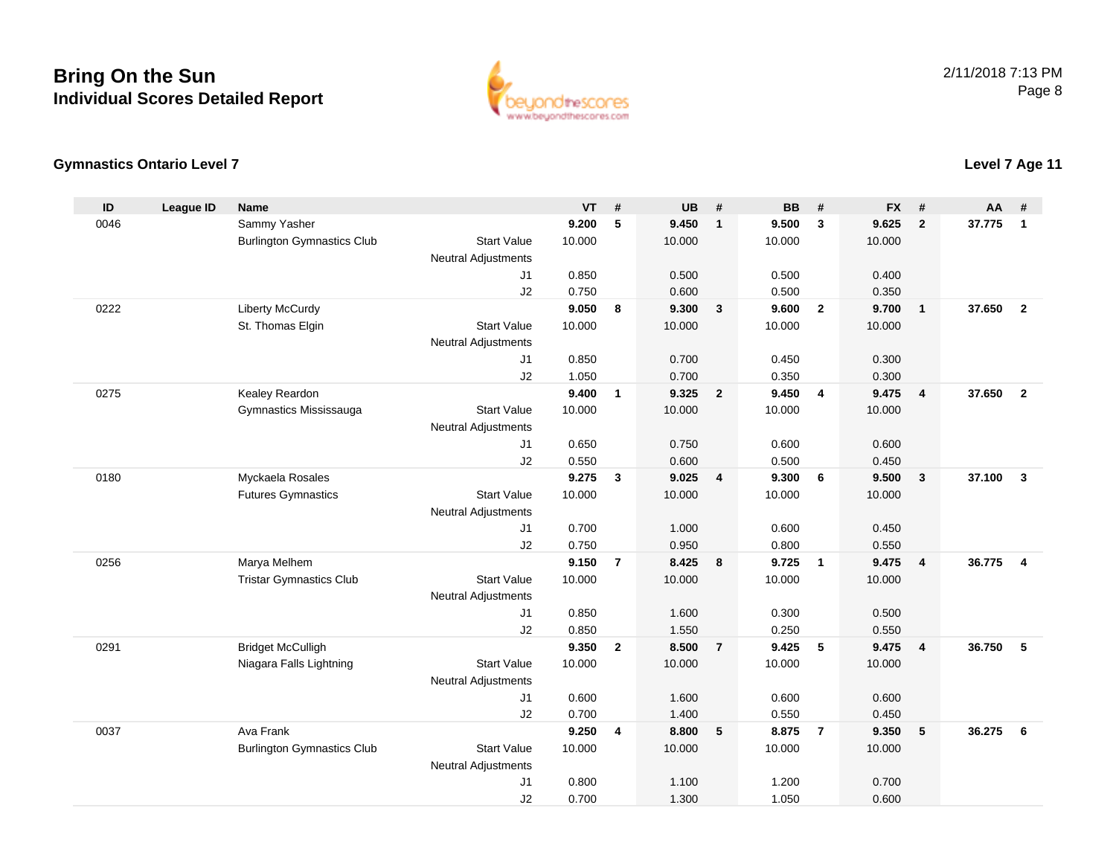

#### **Gymnastics Ontario Level 7**

#### **ID League ID Name VT # UB # BB # FX # AA #** 0046 Sammy Yasher **9.200 <sup>5</sup> 9.450 <sup>1</sup> 9.500 <sup>3</sup> 9.625 <sup>2</sup> 37.775 <sup>1</sup>** Burlington Gymnastics Clubb 3tart Value 10.000 10.000 10.000 10.000 10.000 Neutral Adjustments J1 0.850 0.500 0.500 0.400 J2 0.750 0.600 0.500 0.350 0222 Liberty McCurdy **9.050 <sup>8</sup> 9.300 <sup>3</sup> 9.600 <sup>2</sup> 9.700 <sup>1</sup> 37.650 <sup>2</sup>** St. Thomas Elgin Start Value 10.000 10.000 10.000 10.000 Neutral Adjustments J1 0.850 0.700 0.450 0.300 J2 1.050 0.700 0.350 0.300 0275 Kealey Reardon **9.400 <sup>1</sup> 9.325 <sup>2</sup> 9.450 <sup>4</sup> 9.475 <sup>4</sup> 37.650 <sup>2</sup>** Gymnastics Mississauga Start Value 10.000 10.000 10.000 10.000 Neutral Adjustments J1 0.650 0.750 0.600 0.600 J2 0.550 0.600 0.500 0.450 0180 Myckaela Rosales **9.275 <sup>3</sup> 9.025 <sup>4</sup> 9.300 <sup>6</sup> 9.500 <sup>3</sup> 37.100 <sup>3</sup>** Futures Gymnastics Start Valuee 10.000 10.000 10.000 10.000 Neutral Adjustments J1 0.700 1.000 0.600 0.450 J2 0.750 0.950 0.800 0.550 0256 Marya Melhem **9.150 <sup>7</sup> 8.425 <sup>8</sup> 9.725 <sup>1</sup> 9.475 <sup>4</sup> 36.775 <sup>4</sup>** Tristar Gymnastics Clubb 3tart Value 10.000 10.000 10.000 10.000 10.000 Neutral Adjustments J1 0.850 1.600 0.300 0.500 J2 0.850 1.550 0.250 0.550 0291 Bridget McCulligh **9.350 <sup>2</sup> 8.500 <sup>7</sup> 9.425 <sup>5</sup> 9.475 <sup>4</sup> 36.750 <sup>5</sup>** Niagara Falls Lightning Start Value 10.000 10.000 10.000 10.000 Neutral Adjustments J1 0.600 1.600 0.600 0.600 J2 0.700 1.400 0.550 0.450 0037 Ava Frank **9.250 <sup>4</sup> 8.800 <sup>5</sup> 8.875 <sup>7</sup> 9.350 <sup>5</sup> 36.275 <sup>6</sup>** Burlington Gymnastics Clubb 3tart Value 10.000 10.000 10.000 10.000 10.000 Neutral Adjustments J1 0.800 1.100 1.200 0.700 J20.700 1.300 1.050 0.600

### **Level 7 Age 11**